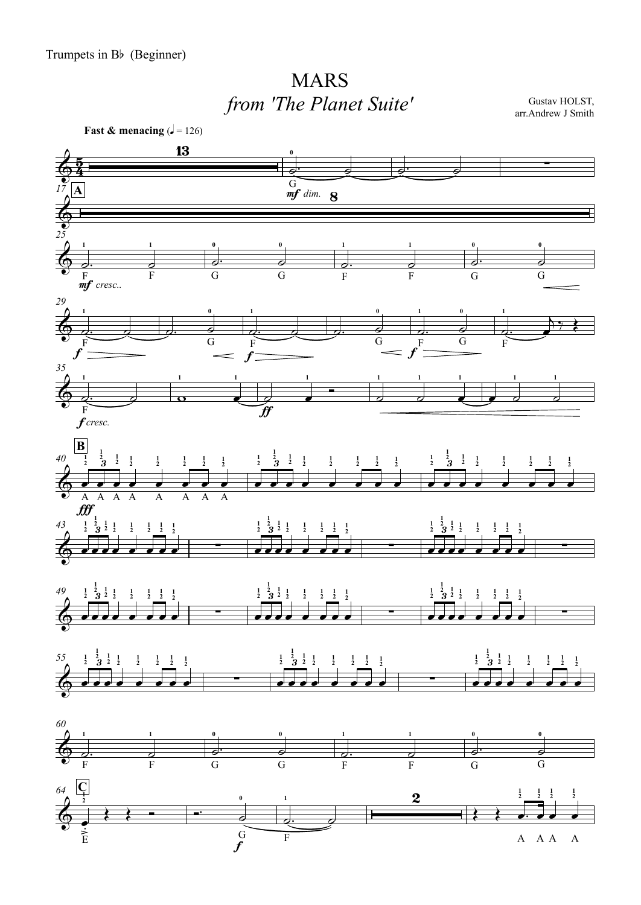## MARS*from 'The Planet Suite'*

Gustav HOLST, arr.Andrew J Smith